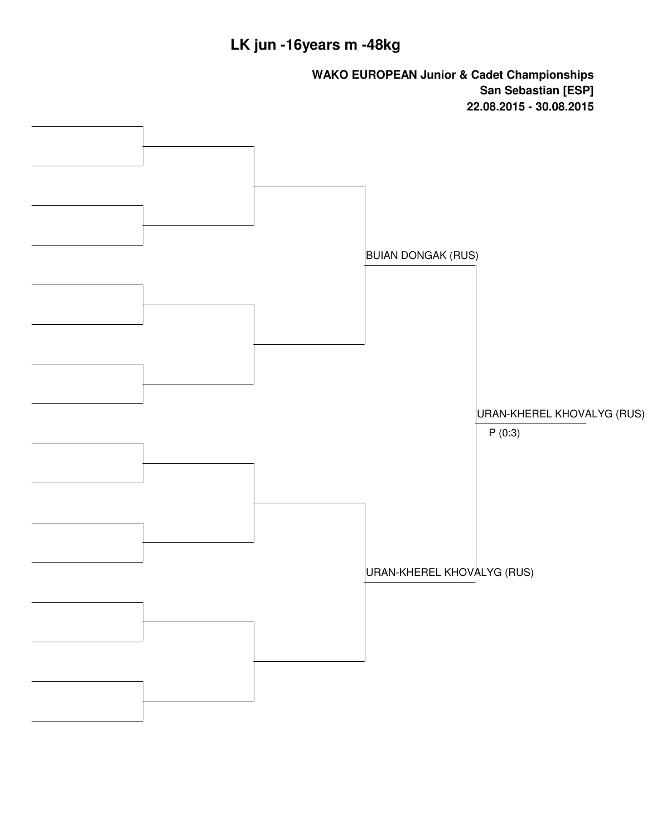## **LK jun -16years m -48kg**

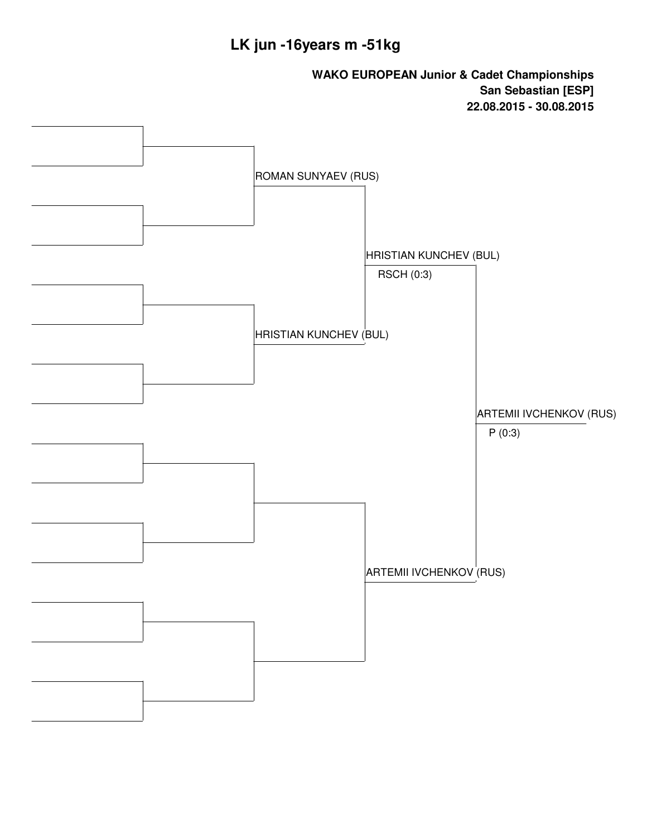### **LK jun -16years m -51kg**

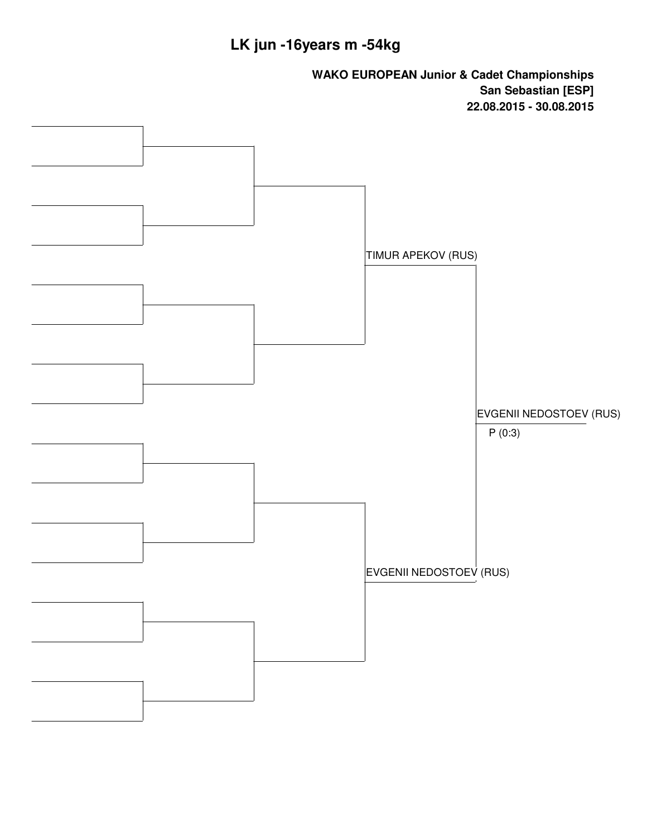# **LK jun -16years m -54kg**

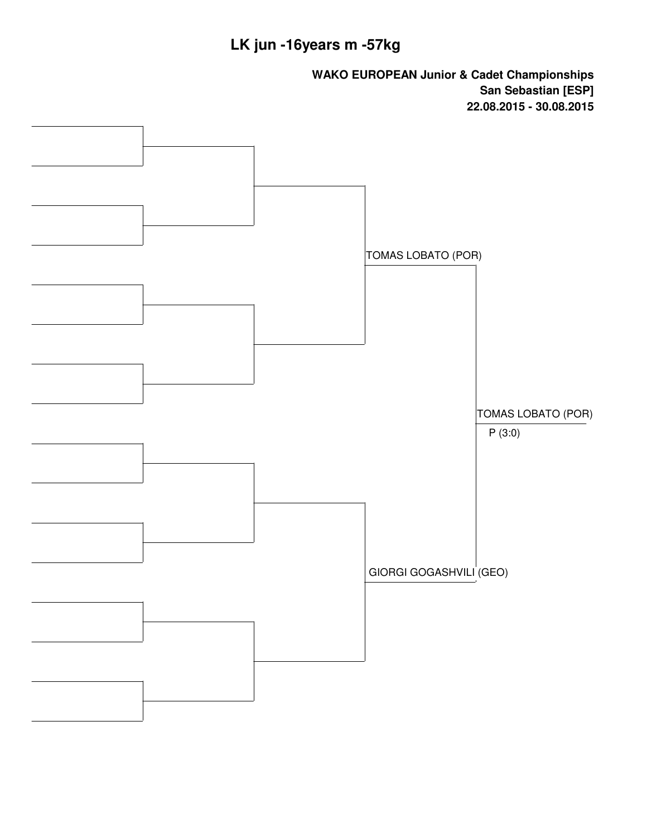# **LK jun -16years m -57kg**

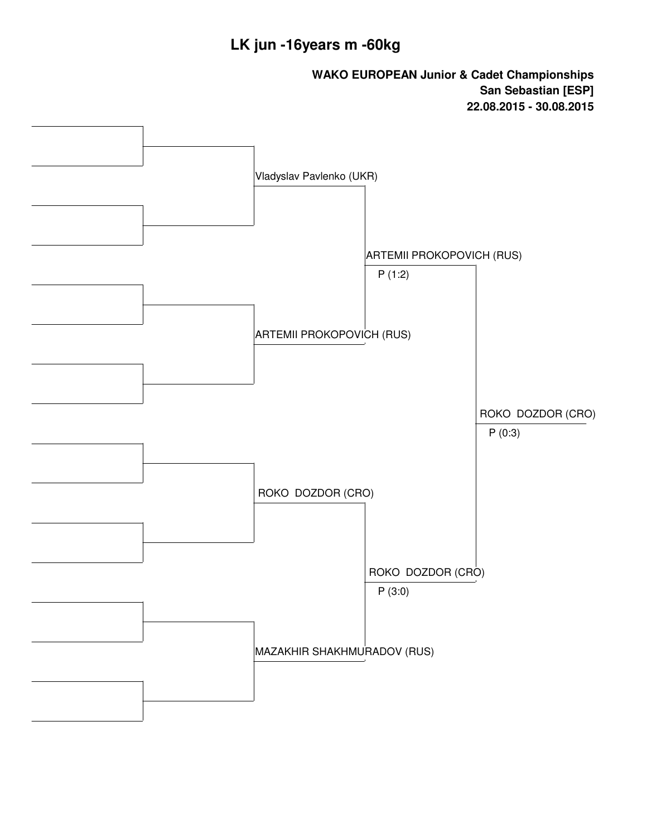### **LK jun -16years m -60kg**

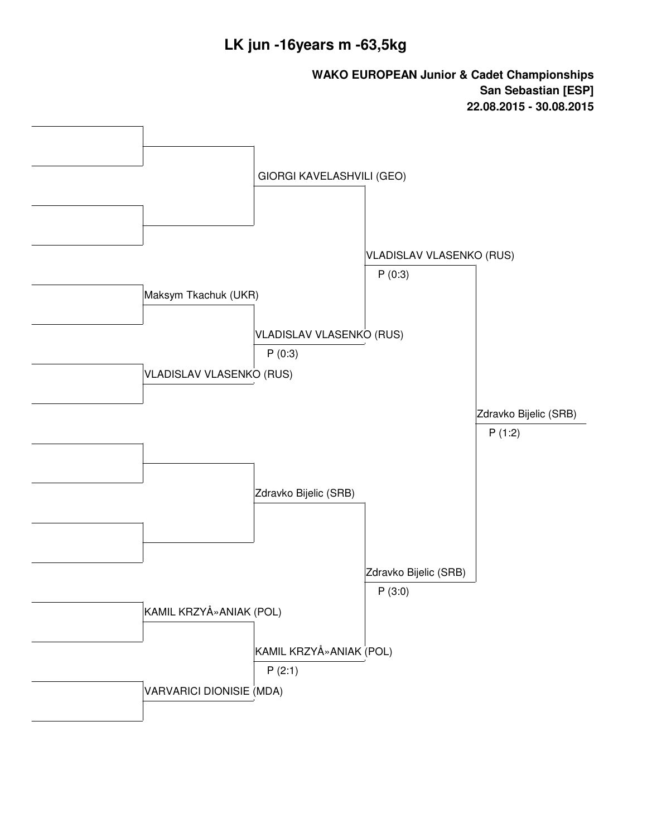### **LK jun -16years m -63,5kg**

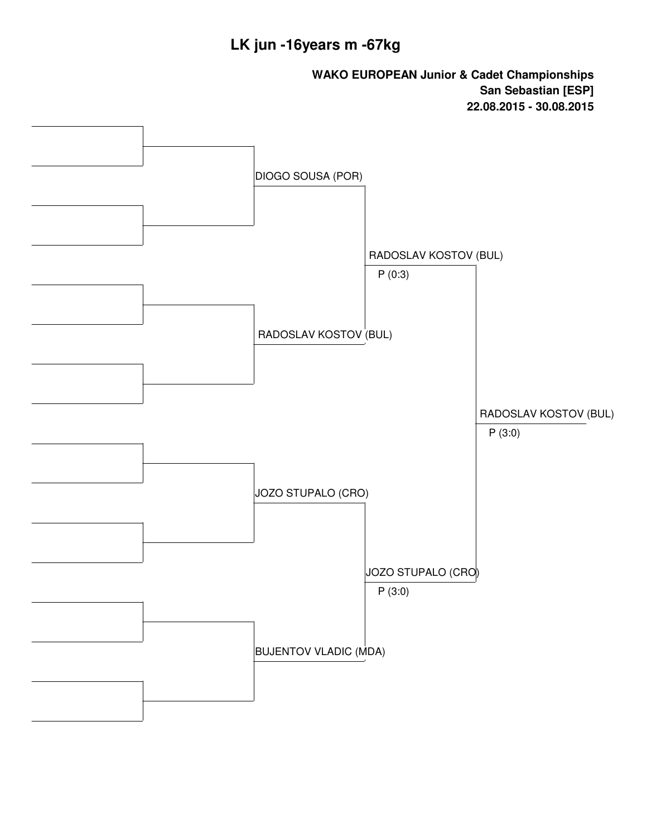### **LK jun -16years m -67kg**

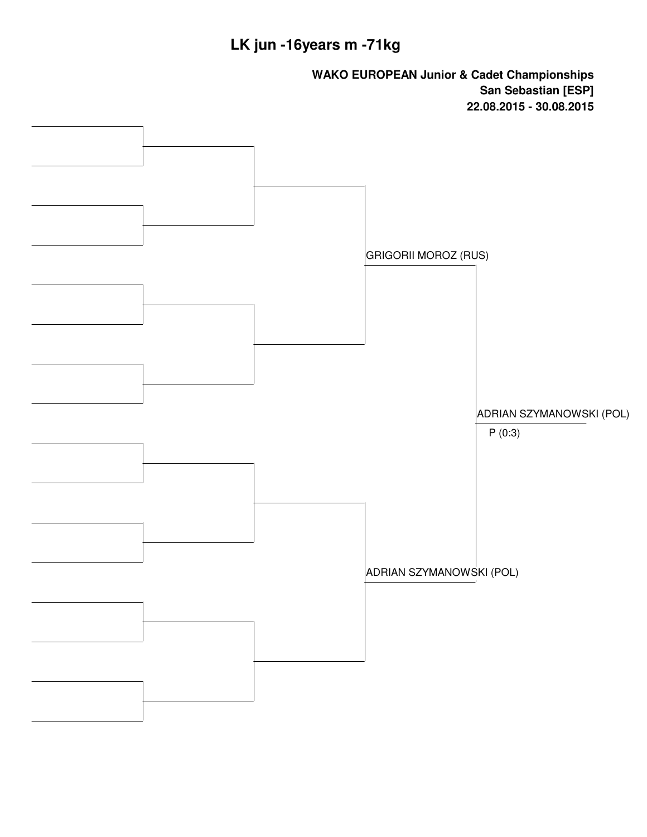## **LK jun -16years m -71kg**

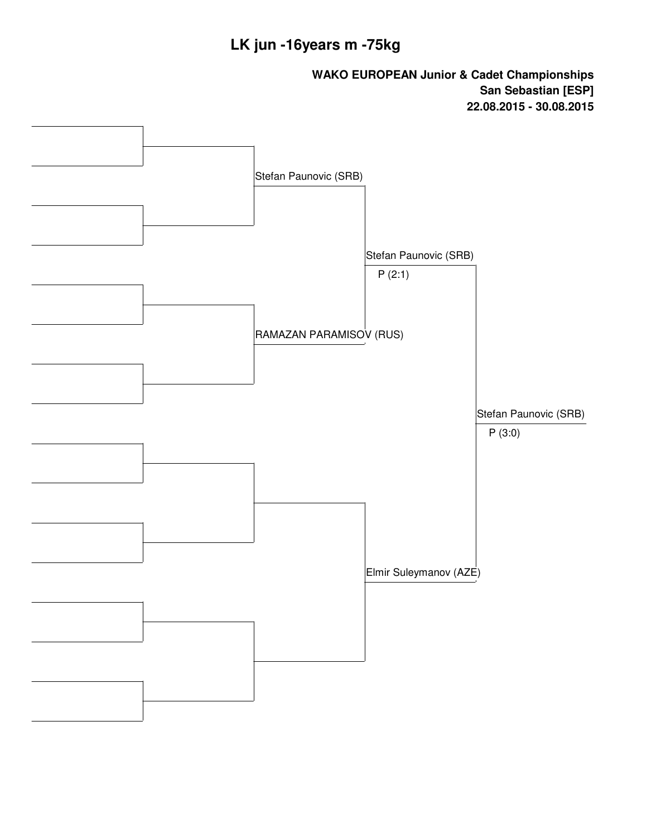### **LK jun -16years m -75kg**

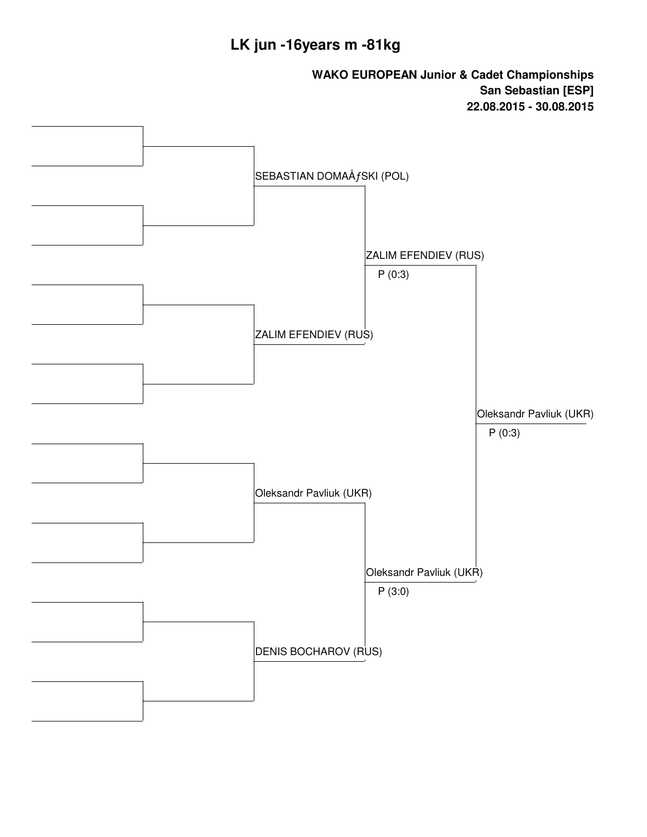### **LK jun -16years m -81kg**

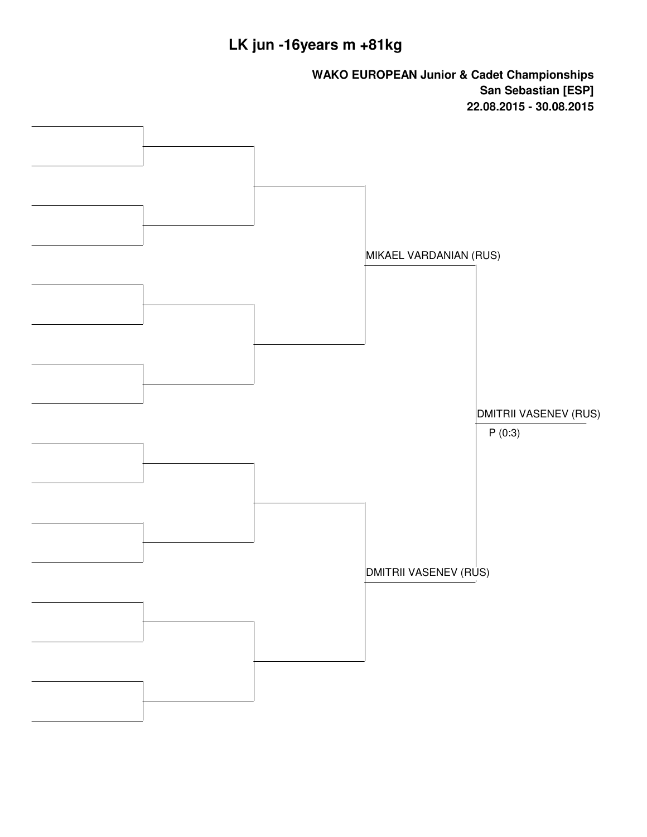## **LK jun -16years m +81kg**

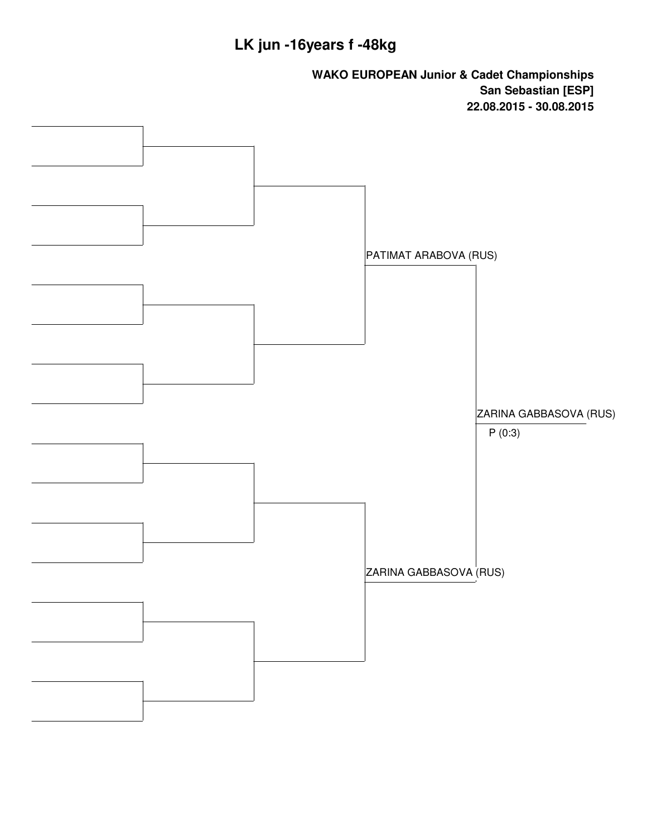### **LK jun -16years f -48kg**

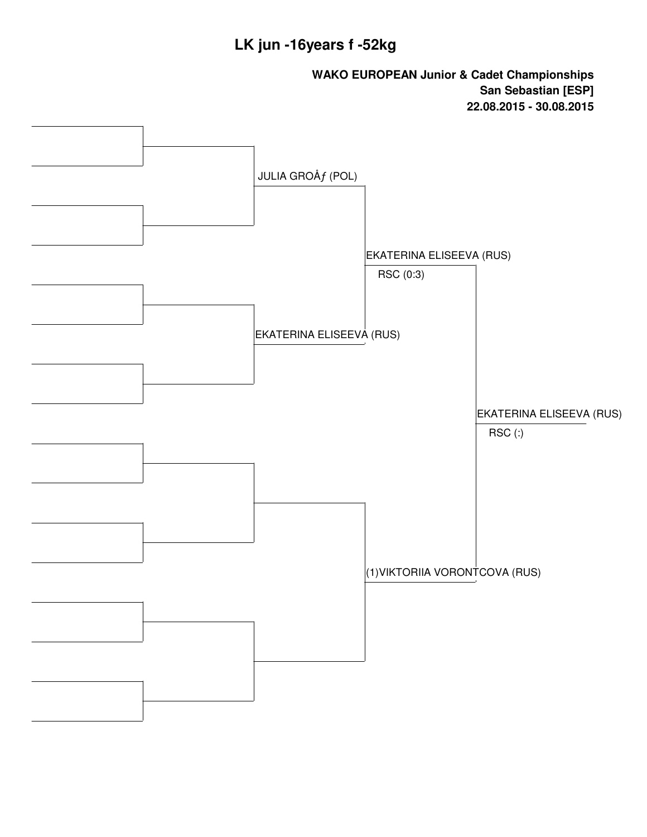### **LK jun -16years f -52kg**

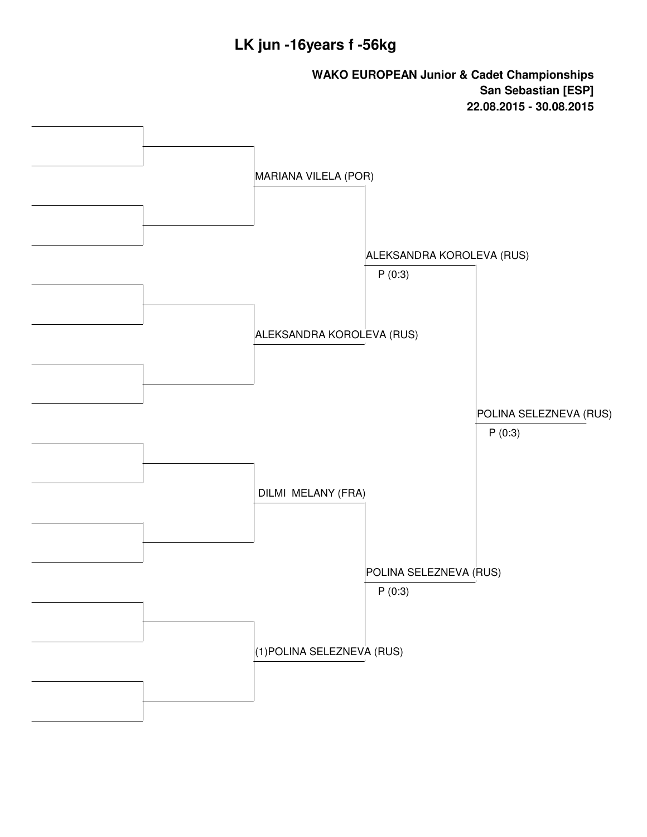### **LK jun -16years f -56kg**

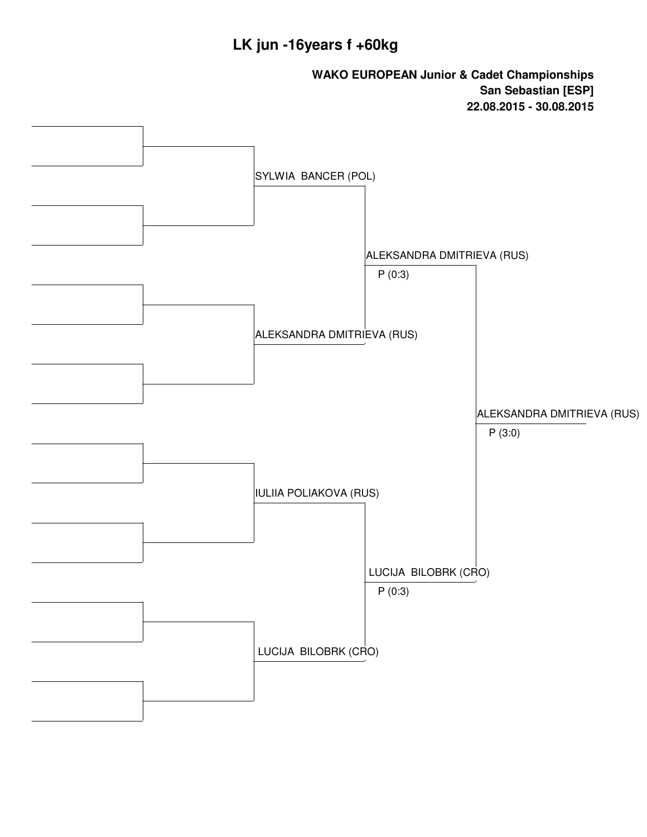### **LK jun -16years f +60kg**

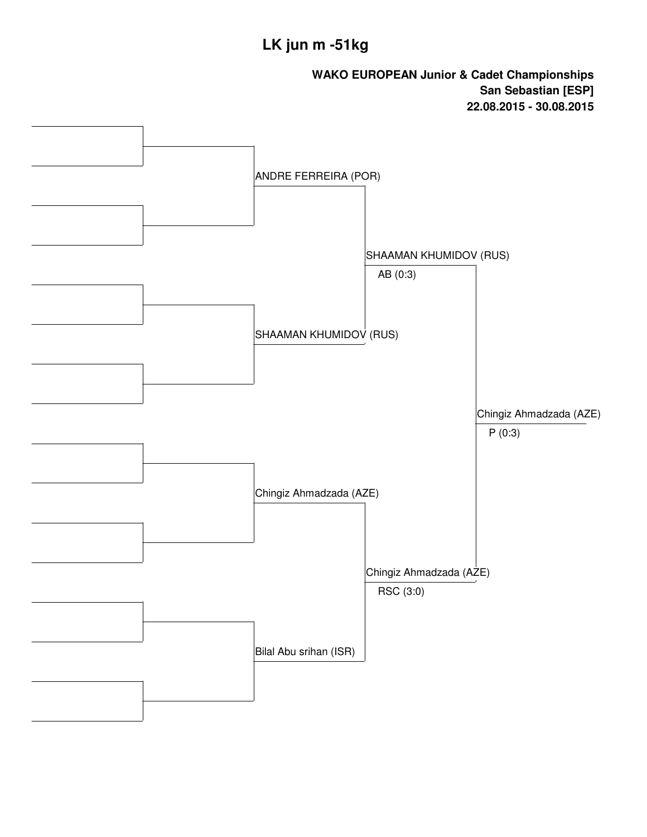## **LK jun m -51kg**

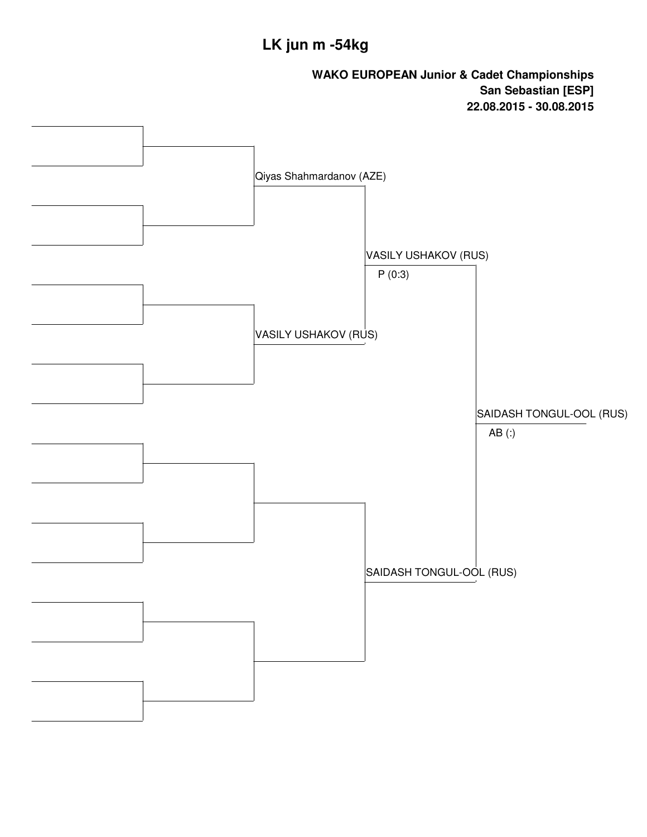## **LK jun m -54kg**

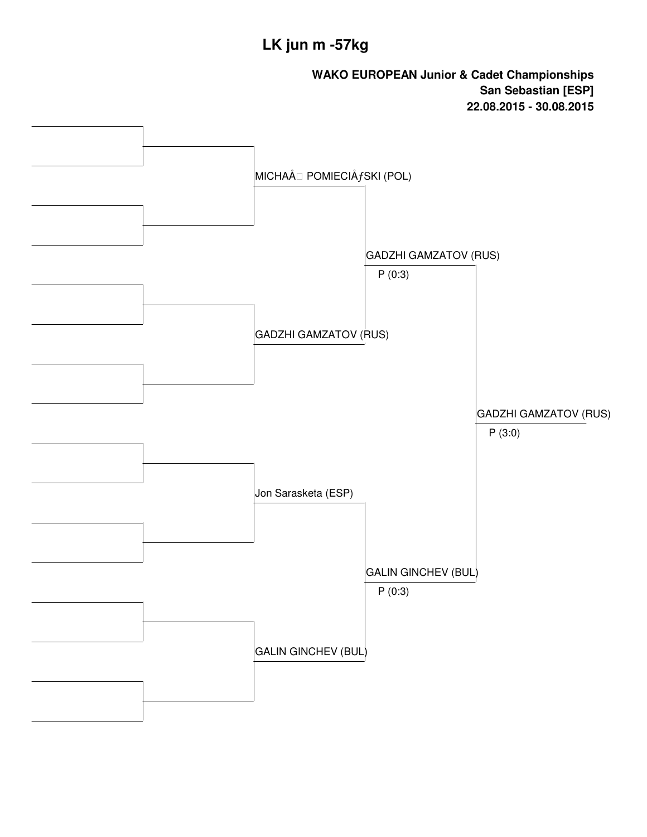## **LK jun m -57kg**

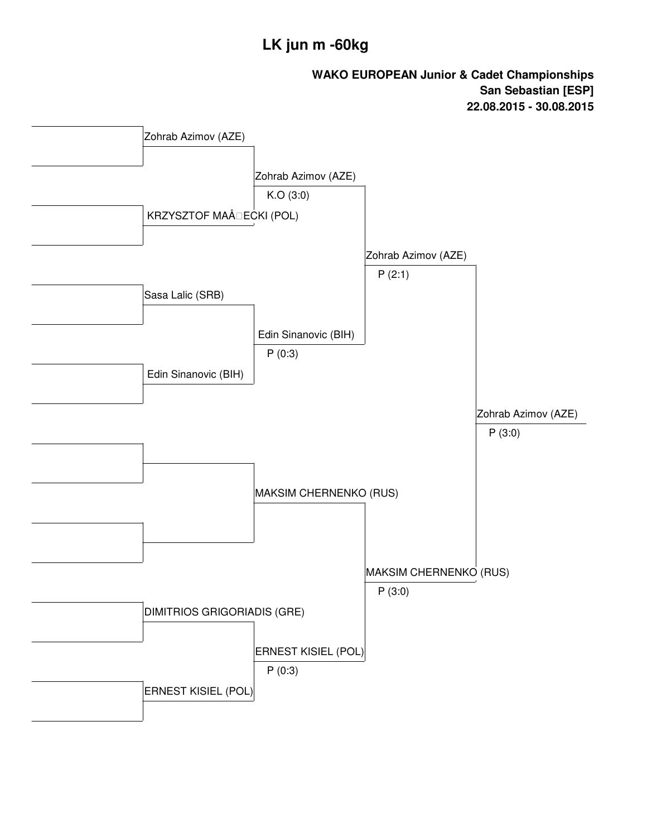### **LK jun m -60kg**

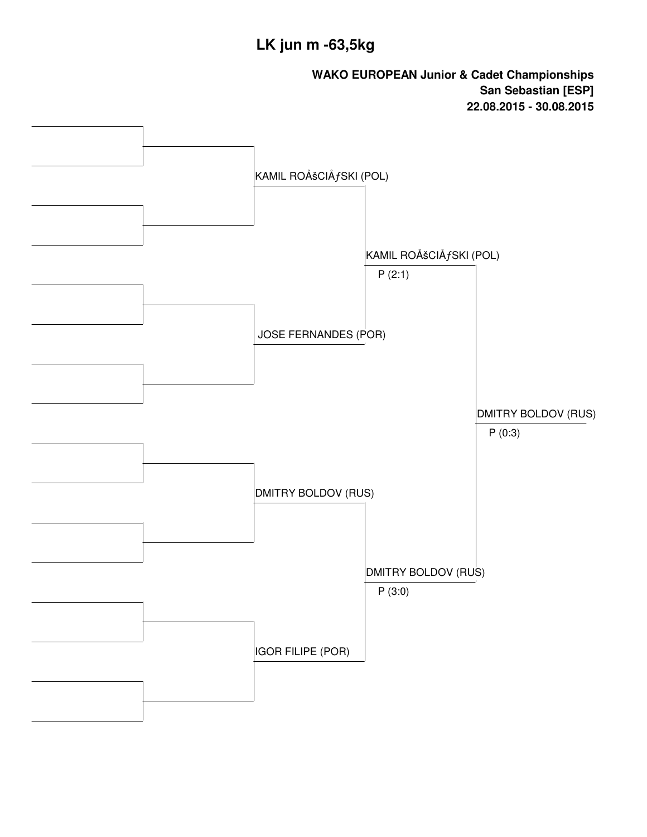## **LK jun m -63,5kg**

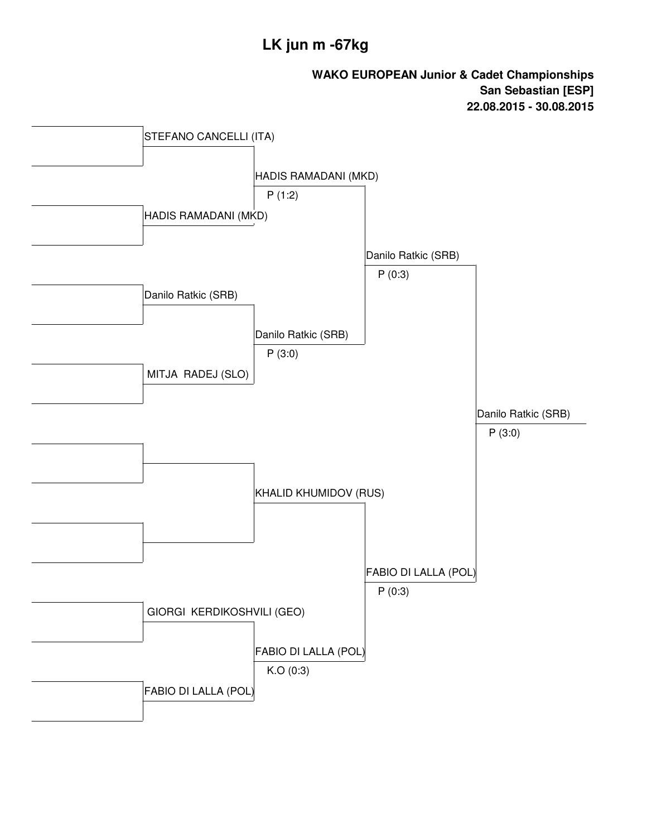### **LK jun m -67kg**

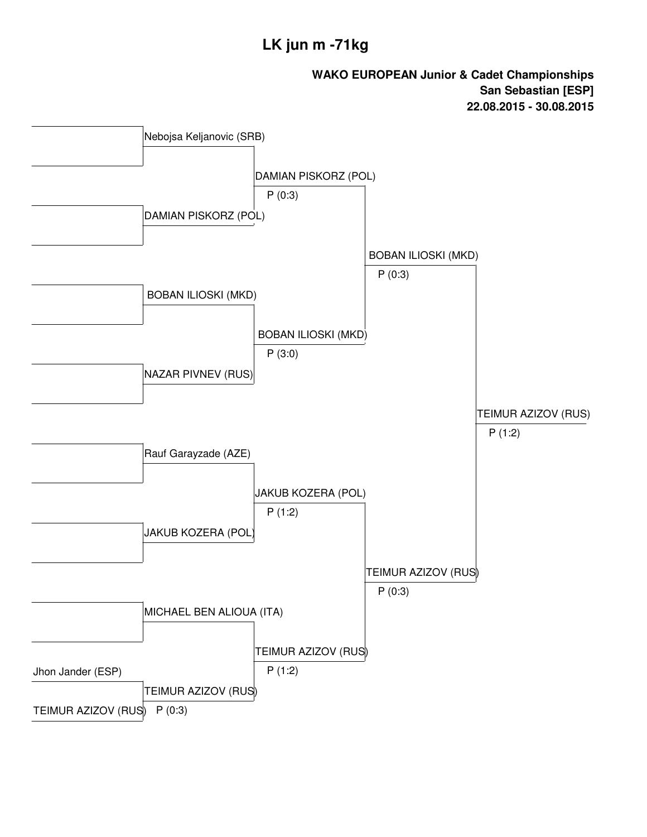### **LK jun m -71kg**

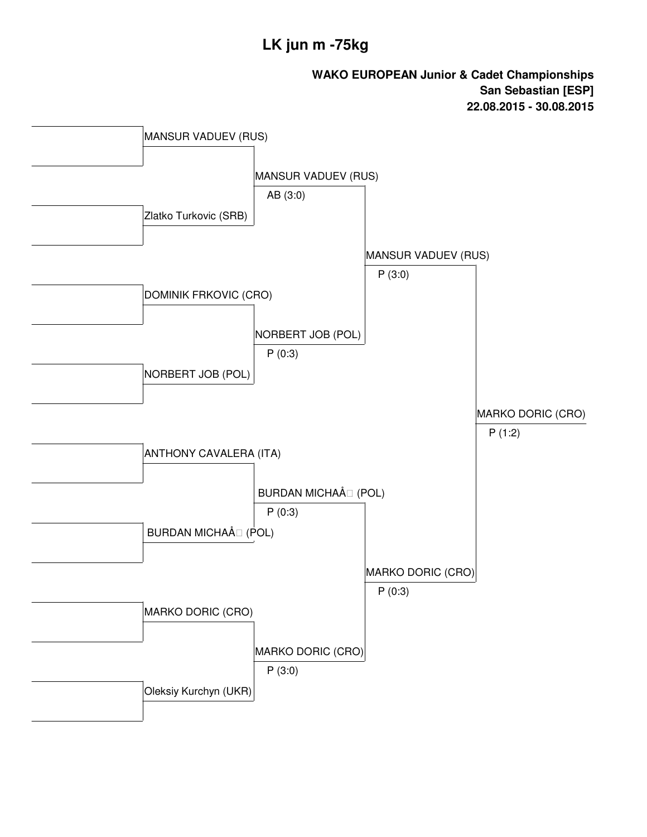### **LK jun m -75kg**

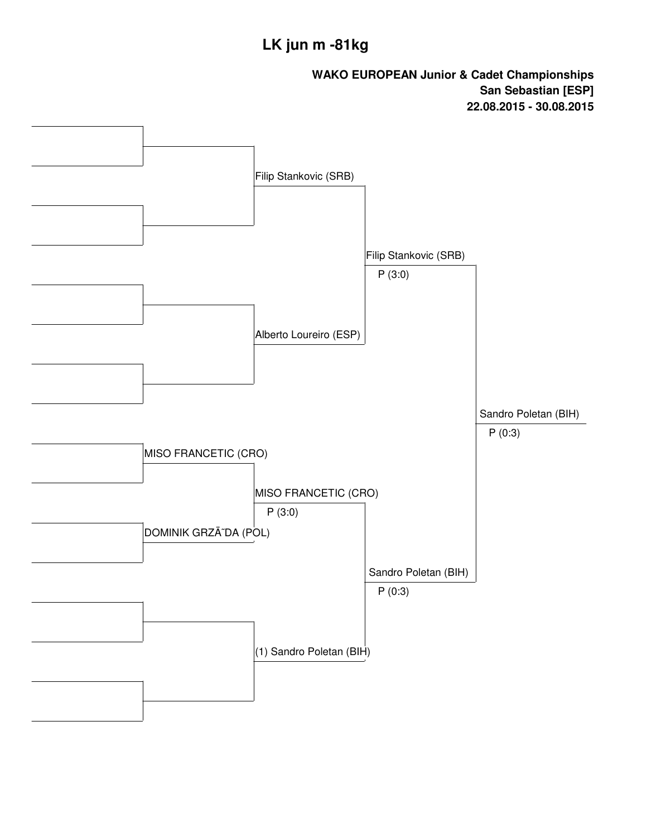## **LK jun m -81kg**

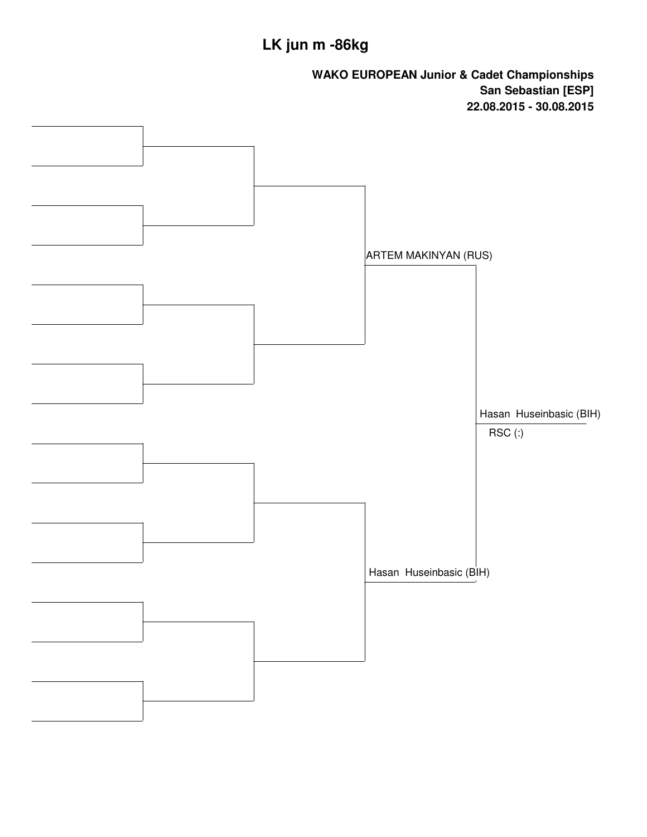# **LK jun m -86kg**

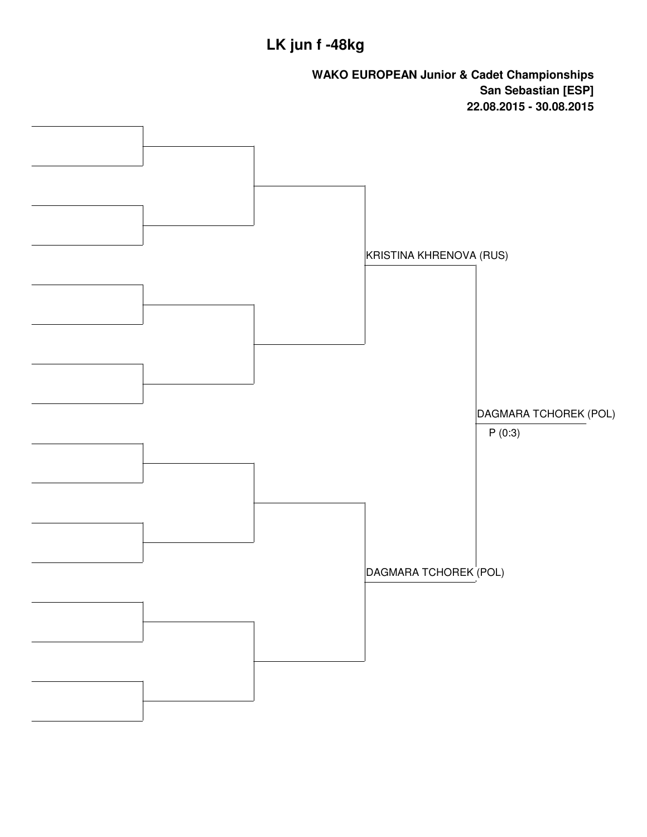### **LK jun f -48kg**

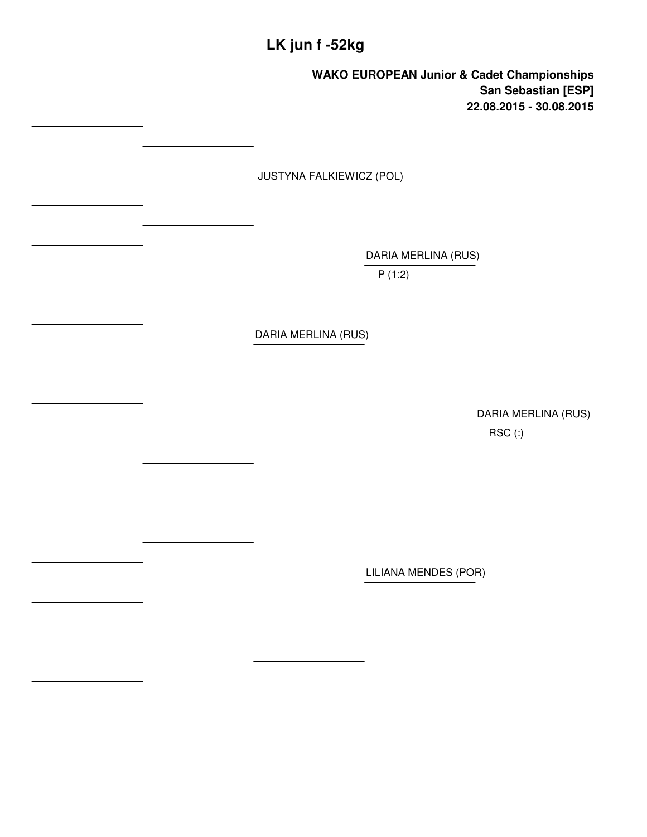### **LK jun f -52kg**

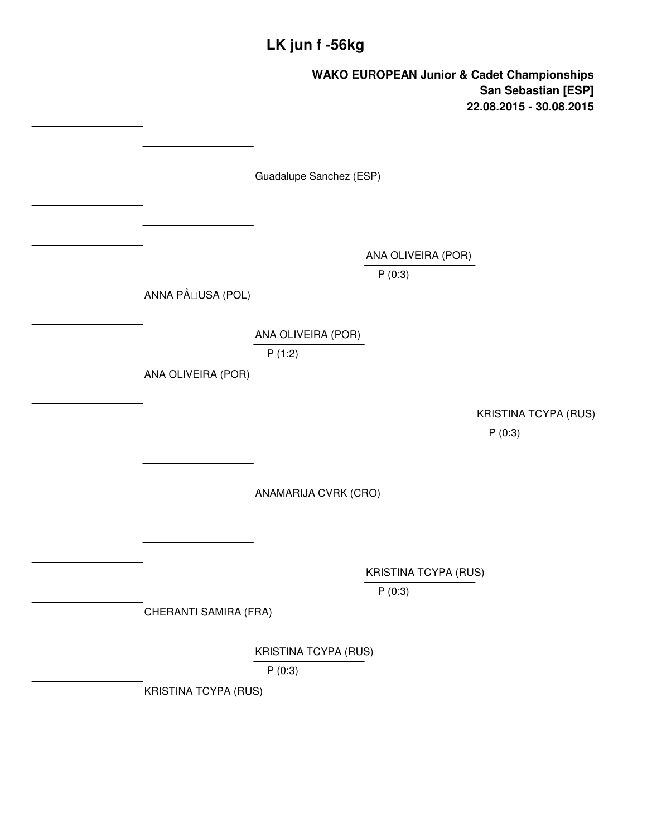### **LK jun f -56kg**

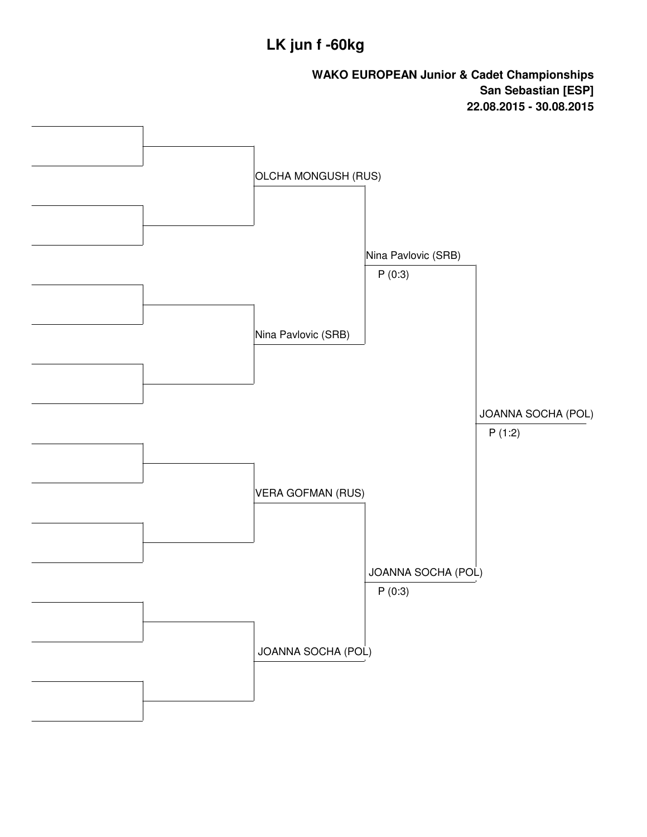## **LK jun f -60kg**